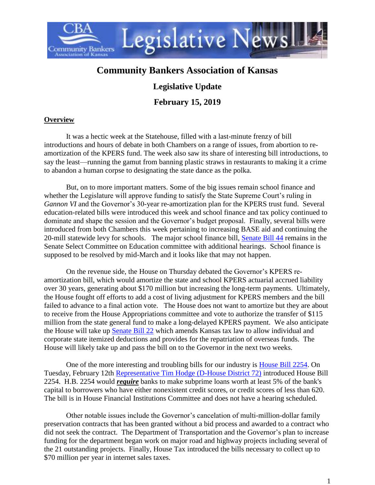

## **Community Bankers Association of Kansas**

## **Legislative Update**

**February 15, 2019**

## **Overview**

It was a hectic week at the Statehouse, filled with a last-minute frenzy of bill introductions and hours of debate in both Chambers on a range of issues, from abortion to reamortization of the KPERS fund. The week also saw its share of interesting bill introductions, to say the least—running the gamut from banning plastic straws in restaurants to making it a crime to abandon a human corpse to designating the state dance as the polka.

But, on to more important matters. Some of the big issues remain school finance and whether the Legislature will approve funding to satisfy the State Supreme Court's ruling in *Gannon VI* and the Governor's 30-year re-amortization plan for the KPERS trust fund. Several education-related bills were introduced this week and school finance and tax policy continued to dominate and shape the session and the Governor's budget proposal. Finally, several bills were introduced from both Chambers this week pertaining to increasing BASE aid and continuing the 20-mill statewide levy for schools. The major school finance bill, [Senate Bill 44](http://www.kslegislature.org/li/b2019_20/measures/sb44/) remains in the Senate Select Committee on Education committee with additional hearings. School finance is supposed to be resolved by mid-March and it looks like that may not happen.

On the revenue side, the House on Thursday debated the Governor's KPERS reamortization bill, which would amortize the state and school KPERS actuarial accrued liability over 30 years, generating about \$170 million but increasing the long-term payments. Ultimately, the House fought off efforts to add a cost of living adjustment for KPERS members and the bill failed to advance to a final action vote. The House does not want to amortize but they are about to receive from the House Appropriations committee and vote to authorize the transfer of \$115 million from the state general fund to make a long-delayed KPERS payment. We also anticipate the House will take up [Senate Bill 22](http://www.kslegislature.org/li/b2019_20/measures/sb22/) which amends Kansas tax law to allow individual and corporate state itemized deductions and provides for the repatriation of overseas funds. The House will likely take up and pass the bill on to the Governor in the next two weeks.

One of the more interesting and troubling bills for our industry is [House Bill 2254.](http://www.kslegislature.org/li/b2019_20/measures/hb2254/) On Tuesday, February 12th [Representative Tim Hodge \(D-House District 72\)](http://www.kslegislature.org/li/b2019_20/members/rep_hodge_tim_1/) introduced House Bill 2254. H.B. 2254 would *require* banks to make subprime loans worth at least 5% of the bank's capital to borrowers who have either nonexistent credit scores, or credit scores of less than 620. The bill is in House Financial Institutions Committee and does not have a hearing scheduled.

Other notable issues include the Governor's cancelation of multi-million-dollar family preservation contracts that has been granted without a bid process and awarded to a contract who did not seek the contract. The Department of Transportation and the Governor's plan to increase funding for the department began work on major road and highway projects including several of the 21 outstanding projects. Finally, House Tax introduced the bills necessary to collect up to \$70 million per year in internet sales taxes.